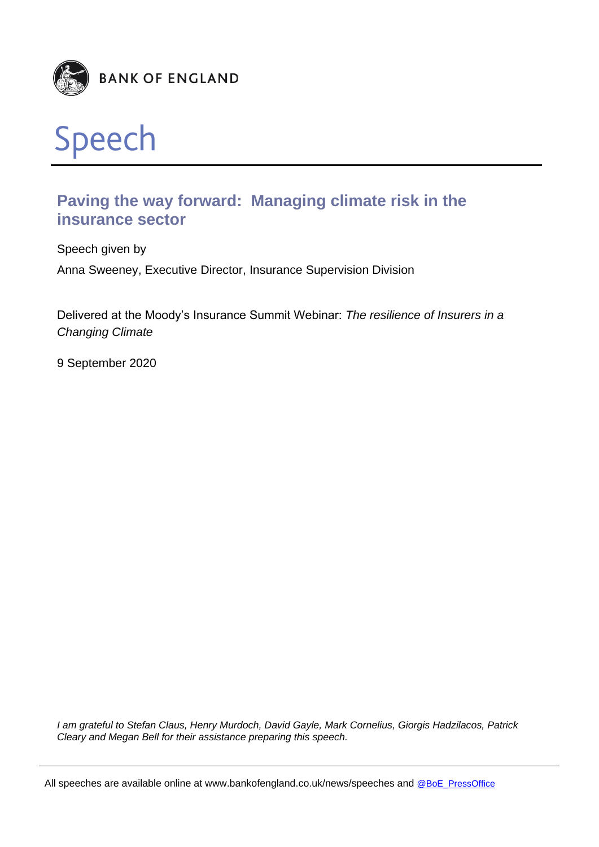



# **Paving the way forward: Managing climate risk in the insurance sector**

Speech given by Anna Sweeney, Executive Director, Insurance Supervision Division

Delivered at the Moody's Insurance Summit Webinar: *The resilience of Insurers in a Changing Climate*

9 September 2020

*I am grateful to Stefan Claus, Henry Murdoch, David Gayle, Mark Cornelius, Giorgis Hadzilacos, Patrick Cleary and Megan Bell for their assistance preparing this speech.*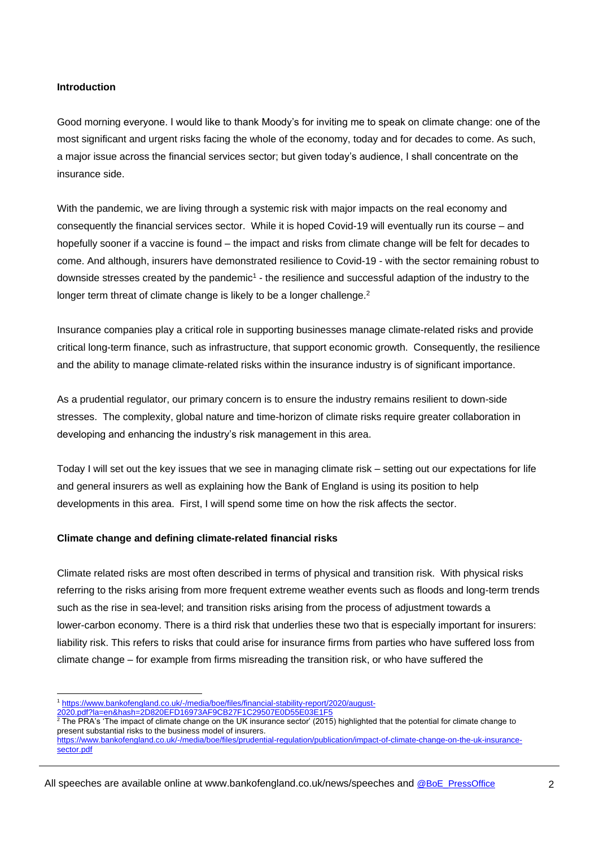## **Introduction**

Good morning everyone. I would like to thank Moody's for inviting me to speak on climate change: one of the most significant and urgent risks facing the whole of the economy, today and for decades to come. As such, a major issue across the financial services sector; but given today's audience, I shall concentrate on the insurance side.

With the pandemic, we are living through a systemic risk with major impacts on the real economy and consequently the financial services sector. While it is hoped Covid-19 will eventually run its course – and hopefully sooner if a vaccine is found – the impact and risks from climate change will be felt for decades to come. And although, insurers have demonstrated resilience to Covid-19 - with the sector remaining robust to downside stresses created by the pandemic<sup>1</sup> - the resilience and successful adaption of the industry to the longer term threat of climate change is likely to be a longer challenge.<sup>2</sup>

Insurance companies play a critical role in supporting businesses manage climate-related risks and provide critical long-term finance, such as infrastructure, that support economic growth. Consequently, the resilience and the ability to manage climate-related risks within the insurance industry is of significant importance.

As a prudential regulator, our primary concern is to ensure the industry remains resilient to down-side stresses. The complexity, global nature and time-horizon of climate risks require greater collaboration in developing and enhancing the industry's risk management in this area.

Today I will set out the key issues that we see in managing climate risk – setting out our expectations for life and general insurers as well as explaining how the Bank of England is using its position to help developments in this area. First, I will spend some time on how the risk affects the sector.

#### **Climate change and defining climate-related financial risks**

Climate related risks are most often described in terms of physical and transition risk. With physical risks referring to the risks arising from more frequent extreme weather events such as floods and long-term trends such as the rise in sea-level; and transition risks arising from the process of adjustment towards a lower-carbon economy. There is a third risk that underlies these two that is especially important for insurers: liability risk. This refers to risks that could arise for insurance firms from parties who have suffered loss from climate change – for example from firms misreading the transition risk, or who have suffered the

l

<sup>1</sup> [https://www.bankofengland.co.uk/-/media/boe/files/financial-stability-report/2020/august-](https://www.bankofengland.co.uk/-/media/boe/files/financial-stability-report/2020/august-2020.pdf?la=en&hash=2D820EFD16973AF9CB27F1C29507E0D55E03E1F5)

[<sup>2020.</sup>pdf?la=en&hash=2D820EFD16973AF9CB27F1C29507E0D55E03E1F5](https://www.bankofengland.co.uk/-/media/boe/files/financial-stability-report/2020/august-2020.pdf?la=en&hash=2D820EFD16973AF9CB27F1C29507E0D55E03E1F5)

 $2$  The PRA's 'The impact of climate change on the UK insurance sector' (2015) highlighted that the potential for climate change to present substantial risks to the business model of insurers.

[https://www.bankofengland.co.uk/-/media/boe/files/prudential-regulation/publication/impact-of-climate-change-on-the-uk-insurance](https://www.bankofengland.co.uk/-/media/boe/files/prudential-regulation/publication/impact-of-climate-change-on-the-uk-insurance-sector.pdf)[sector.pdf](https://www.bankofengland.co.uk/-/media/boe/files/prudential-regulation/publication/impact-of-climate-change-on-the-uk-insurance-sector.pdf)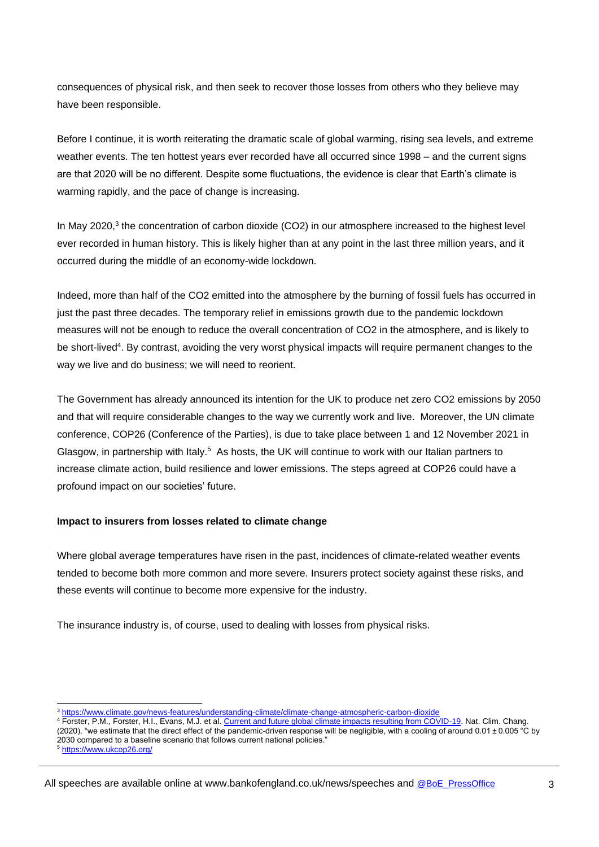consequences of physical risk, and then seek to recover those losses from others who they believe may have been responsible.

Before I continue, it is worth reiterating the dramatic scale of global warming, rising sea levels, and extreme weather events. The ten hottest years ever recorded have all occurred since 1998 – and the current signs are that 2020 will be no different. Despite some fluctuations, the evidence is clear that Earth's climate is warming rapidly, and the pace of change is increasing.

In May 2020,<sup>3</sup> the concentration of carbon dioxide (CO2) in our atmosphere increased to the highest level ever recorded in human history. This is likely higher than at any point in the last three million years, and it occurred during the middle of an economy-wide lockdown.

Indeed, more than half of the CO2 emitted into the atmosphere by the burning of fossil fuels has occurred in just the past three decades. The temporary relief in emissions growth due to the pandemic lockdown measures will not be enough to reduce the overall concentration of CO2 in the atmosphere, and is likely to be short-lived<sup>4</sup>. By contrast, avoiding the very worst physical impacts will require permanent changes to the way we live and do business; we will need to reorient.

The Government has already announced its intention for the UK to produce net zero CO2 emissions by 2050 and that will require considerable changes to the way we currently work and live. Moreover, the UN climate conference, COP26 (Conference of the Parties), is due to take place between 1 and 12 November 2021 in Glasgow, in partnership with Italy.<sup>5</sup> As hosts, the UK will continue to work with our Italian partners to increase climate action, build resilience and lower emissions. The steps agreed at COP26 could have a profound impact on our societies' future.

# **Impact to insurers from losses related to climate change**

Where global average temperatures have risen in the past, incidences of climate-related weather events tended to become both more common and more severe. Insurers protect society against these risks, and these events will continue to become more expensive for the industry.

The insurance industry is, of course, used to dealing with losses from physical risks.

l

<sup>3</sup> https:[//www.climate.gov/news-features/understanding-climate/climate-change-atmospheric-carbon-dioxide](http://www.climate.gov/news-features/understanding-climate/climate-change-atmospheric-carbon-dioxide)

<sup>4</sup> Forster, P.M., Forster, H.I., Evans, M.J. et al[. Current and future global climate impacts resulting from COVID-19.](https://www.nature.com/articles/s41558-020-0883-0) Nat. Clim. Chang. (2020). "we estimate that the direct effect of the pandemic-driven response will be negligible, with a cooling of around 0.01 ± 0.005 °C by 2030 compared to a baseline scenario that follows current national policies."

<sup>5</sup> <https://www.ukcop26.org/>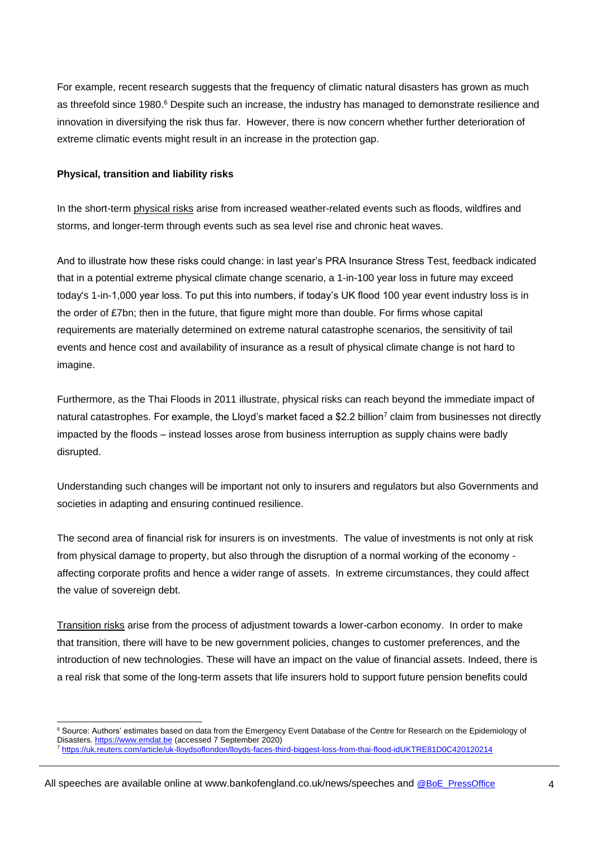For example, recent research suggests that the frequency of climatic natural disasters has grown as much as threefold since 1980.<sup>6</sup> Despite such an increase, the industry has managed to demonstrate resilience and innovation in diversifying the risk thus far. However, there is now concern whether further deterioration of extreme climatic events might result in an increase in the protection gap.

## **Physical, transition and liability risks**

l

In the short-term physical risks arise from increased weather-related events such as floods, wildfires and storms, and longer-term through events such as sea level rise and chronic heat waves.

And to illustrate how these risks could change: in last year's PRA Insurance Stress Test, feedback indicated that in a potential extreme physical climate change scenario, a 1-in-100 year loss in future may exceed today's 1-in-1,000 year loss. To put this into numbers, if today's UK flood 100 year event industry loss is in the order of £7bn; then in the future, that figure might more than double. For firms whose capital requirements are materially determined on extreme natural catastrophe scenarios, the sensitivity of tail events and hence cost and availability of insurance as a result of physical climate change is not hard to imagine.

Furthermore, as the Thai Floods in 2011 illustrate, physical risks can reach beyond the immediate impact of natural catastrophes. For example, the Lloyd's market faced a \$2.2 billion<sup>7</sup> claim from businesses not directly impacted by the floods – instead losses arose from business interruption as supply chains were badly disrupted.

Understanding such changes will be important not only to insurers and regulators but also Governments and societies in adapting and ensuring continued resilience.

The second area of financial risk for insurers is on investments. The value of investments is not only at risk from physical damage to property, but also through the disruption of a normal working of the economy affecting corporate profits and hence a wider range of assets. In extreme circumstances, they could affect the value of sovereign debt.

Transition risks arise from the process of adjustment towards a lower-carbon economy. In order to make that transition, there will have to be new government policies, changes to customer preferences, and the introduction of new technologies. These will have an impact on the value of financial assets. Indeed, there is a real risk that some of the long-term assets that life insurers hold to support future pension benefits could

<sup>&</sup>lt;sup>6</sup> Source: Authors' estimates based on data from the Emergency Event Database of the Centre for Research on the Epidemiology of Disasters[. https://www.emdat.be](https://www.emdat.be/) (accessed 7 September 2020)

<sup>7</sup> <https://uk.reuters.com/article/uk-lloydsoflondon/lloyds-faces-third-biggest-loss-from-thai-flood-idUKTRE81D0C420120214>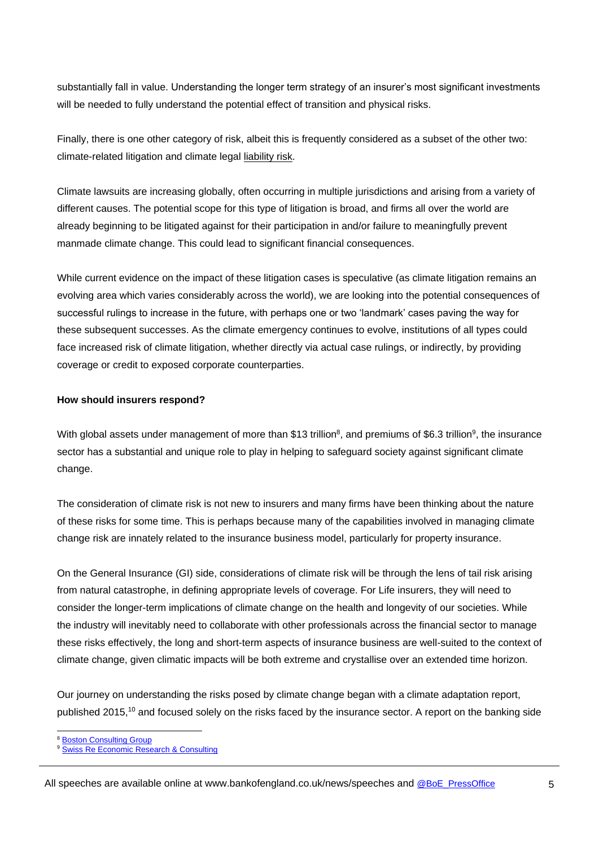substantially fall in value. Understanding the longer term strategy of an insurer's most significant investments will be needed to fully understand the potential effect of transition and physical risks.

Finally, there is one other category of risk, albeit this is frequently considered as a subset of the other two: climate-related litigation and climate legal liability risk.

Climate lawsuits are increasing globally, often occurring in multiple jurisdictions and arising from a variety of different causes. The potential scope for this type of litigation is broad, and firms all over the world are already beginning to be litigated against for their participation in and/or failure to meaningfully prevent manmade climate change. This could lead to significant financial consequences.

While current evidence on the impact of these litigation cases is speculative (as climate litigation remains an evolving area which varies considerably across the world), we are looking into the potential consequences of successful rulings to increase in the future, with perhaps one or two 'landmark' cases paving the way for these subsequent successes. As the climate emergency continues to evolve, institutions of all types could face increased risk of climate litigation, whether directly via actual case rulings, or indirectly, by providing coverage or credit to exposed corporate counterparties.

# **How should insurers respond?**

With global assets under management of more than \$13 trillion<sup>8</sup>, and premiums of \$6.3 trillion<sup>9</sup>, the insurance sector has a substantial and unique role to play in helping to safeguard society against significant climate change.

The consideration of climate risk is not new to insurers and many firms have been thinking about the nature of these risks for some time. This is perhaps because many of the capabilities involved in managing climate change risk are innately related to the insurance business model, particularly for property insurance.

On the General Insurance (GI) side, considerations of climate risk will be through the lens of tail risk arising from natural catastrophe, in defining appropriate levels of coverage. For Life insurers, they will need to consider the longer-term implications of climate change on the health and longevity of our societies. While the industry will inevitably need to collaborate with other professionals across the financial sector to manage these risks effectively, the long and short-term aspects of insurance business are well-suited to the context of climate change, given climatic impacts will be both extreme and crystallise over an extended time horizon.

Our journey on understanding the risks posed by climate change began with a climate adaptation report, published 2015,<sup>10</sup> and focused solely on the risks faced by the insurance sector. A report on the banking side

l **[Boston Consulting Group](https://www.bcg.com/publications/2020/global-asset-management-protect-adapt-innovate)** 

[Swiss Re Economic Research & Consulting](https://www.swissre.com/dam/jcr:05ba8605-48d3-40b6-bb79-b891cbd11c36/sigma4_2020_en.pdf)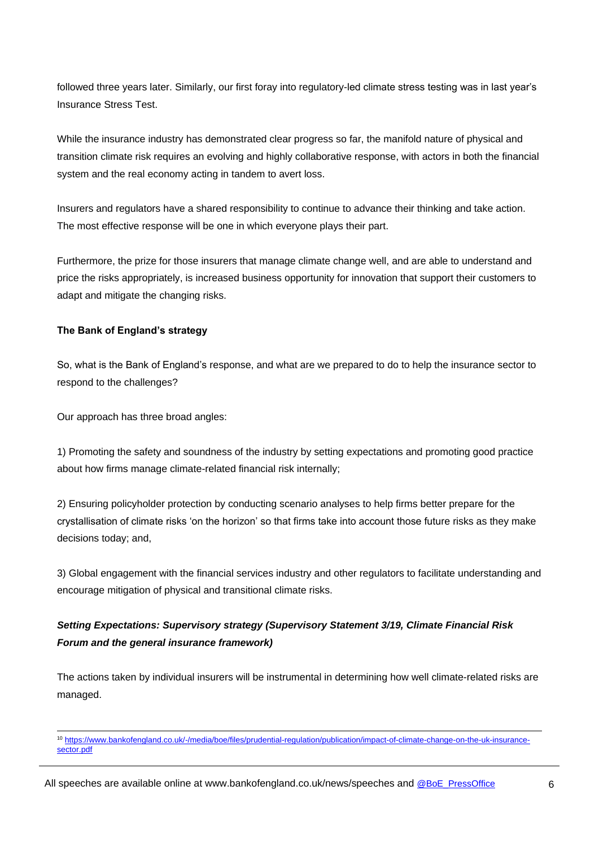followed three years later. Similarly, our first foray into regulatory-led climate stress testing was in last year's Insurance Stress Test.

While the insurance industry has demonstrated clear progress so far, the manifold nature of physical and transition climate risk requires an evolving and highly collaborative response, with actors in both the financial system and the real economy acting in tandem to avert loss.

Insurers and regulators have a shared responsibility to continue to advance their thinking and take action. The most effective response will be one in which everyone plays their part.

Furthermore, the prize for those insurers that manage climate change well, and are able to understand and price the risks appropriately, is increased business opportunity for innovation that support their customers to adapt and mitigate the changing risks.

# **The Bank of England's strategy**

So, what is the Bank of England's response, and what are we prepared to do to help the insurance sector to respond to the challenges?

Our approach has three broad angles:

l

1) Promoting the safety and soundness of the industry by setting expectations and promoting good practice about how firms manage climate-related financial risk internally;

2) Ensuring policyholder protection by conducting scenario analyses to help firms better prepare for the crystallisation of climate risks 'on the horizon' so that firms take into account those future risks as they make decisions today; and,

3) Global engagement with the financial services industry and other regulators to facilitate understanding and encourage mitigation of physical and transitional climate risks.

# *Setting Expectations: Supervisory strategy (Supervisory Statement 3/19, Climate Financial Risk Forum and the general insurance framework)*

The actions taken by individual insurers will be instrumental in determining how well climate-related risks are managed.

<sup>10</sup> https:[//www.bankofengland.co.uk/-/media/boe/files/prudential-regulation/publication/impact-of-climate-change-on-the-uk-insurance](http://www.bankofengland.co.uk/-/media/boe/files/prudential-regulation/publication/impact-of-climate-change-on-the-uk-insurance-sector.pdf)[sector.pdf](http://www.bankofengland.co.uk/-/media/boe/files/prudential-regulation/publication/impact-of-climate-change-on-the-uk-insurance-sector.pdf)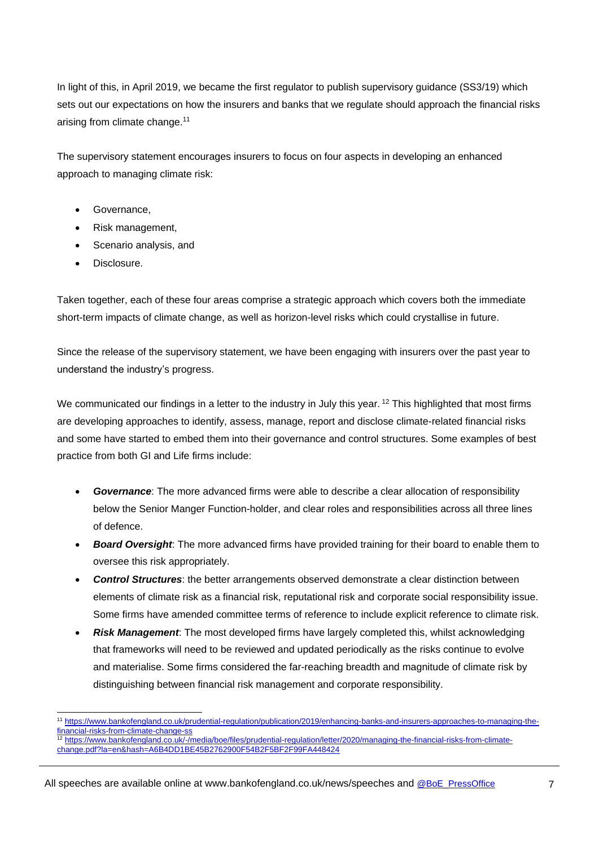In light of this, in April 2019, we became the first regulator to publish supervisory guidance (SS3/19) which sets out our expectations on how the insurers and banks that we regulate should approach the financial risks arising from climate change.<sup>11</sup>

The supervisory statement encourages insurers to focus on four aspects in developing an enhanced approach to managing climate risk:

- Governance,
- Risk management,
- Scenario analysis, and
- **Disclosure**

Taken together, each of these four areas comprise a strategic approach which covers both the immediate short-term impacts of climate change, as well as horizon-level risks which could crystallise in future.

Since the release of the supervisory statement, we have been engaging with insurers over the past year to understand the industry's progress.

We communicated our findings in a letter to the industry in July this year.  $12$  This highlighted that most firms are developing approaches to identify, assess, manage, report and disclose climate-related financial risks and some have started to embed them into their governance and control structures. Some examples of best practice from both GI and Life firms include:

- *Governance*: The more advanced firms were able to describe a clear allocation of responsibility below the Senior Manger Function-holder, and clear roles and responsibilities across all three lines of defence.
- *Board Oversight*: The more advanced firms have provided training for their board to enable them to oversee this risk appropriately.
- *Control Structures*: the better arrangements observed demonstrate a clear distinction between elements of climate risk as a financial risk, reputational risk and corporate social responsibility issue. Some firms have amended committee terms of reference to include explicit reference to climate risk.
- *Risk Management*: The most developed firms have largely completed this, whilst acknowledging that frameworks will need to be reviewed and updated periodically as the risks continue to evolve and materialise. Some firms considered the far-reaching breadth and magnitude of climate risk by distinguishing between financial risk management and corporate responsibility.
- l <sup>11</sup> [https://www.bankofengland.co.uk/prudential-regulation/publication/2019/enhancing-banks-and-insurers-approaches-to-managing-the](https://www.bankofengland.co.uk/prudential-regulation/publication/2019/enhancing-banks-and-insurers-approaches-to-managing-the-financial-risks-from-climate-change-ss)[financial-risks-from-climate-change-ss](https://www.bankofengland.co.uk/prudential-regulation/publication/2019/enhancing-banks-and-insurers-approaches-to-managing-the-financial-risks-from-climate-change-ss)
- <sup>12</sup> [https://www.bankofengland.co.uk/-/media/boe/files/prudential-regulation/letter/2020/managing-the-financial-risks-from-climate](https://www.bankofengland.co.uk/-/media/boe/files/prudential-regulation/letter/2020/managing-the-financial-risks-from-climate-change.pdf?la=en&hash=A6B4DD1BE45B2762900F54B2F5BF2F99FA448424)[change.pdf?la=en&hash=A6B4DD1BE45B2762900F54B2F5BF2F99FA448424](https://www.bankofengland.co.uk/-/media/boe/files/prudential-regulation/letter/2020/managing-the-financial-risks-from-climate-change.pdf?la=en&hash=A6B4DD1BE45B2762900F54B2F5BF2F99FA448424)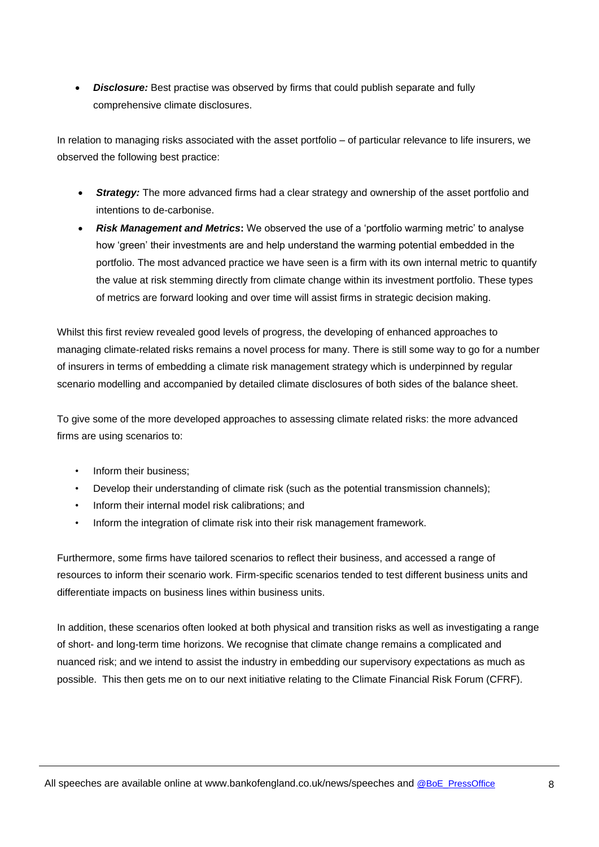*Disclosure:* Best practise was observed by firms that could publish separate and fully comprehensive climate disclosures.

In relation to managing risks associated with the asset portfolio – of particular relevance to life insurers, we observed the following best practice:

- **Strategy:** The more advanced firms had a clear strategy and ownership of the asset portfolio and intentions to de-carbonise.
- *Risk Management and Metrics***:** We observed the use of a 'portfolio warming metric' to analyse how 'green' their investments are and help understand the warming potential embedded in the portfolio. The most advanced practice we have seen is a firm with its own internal metric to quantify the value at risk stemming directly from climate change within its investment portfolio. These types of metrics are forward looking and over time will assist firms in strategic decision making.

Whilst this first review revealed good levels of progress, the developing of enhanced approaches to managing climate-related risks remains a novel process for many. There is still some way to go for a number of insurers in terms of embedding a climate risk management strategy which is underpinned by regular scenario modelling and accompanied by detailed climate disclosures of both sides of the balance sheet.

To give some of the more developed approaches to assessing climate related risks: the more advanced firms are using scenarios to:

- Inform their business:
- Develop their understanding of climate risk (such as the potential transmission channels);
- Inform their internal model risk calibrations; and
- Inform the integration of climate risk into their risk management framework.

Furthermore, some firms have tailored scenarios to reflect their business, and accessed a range of resources to inform their scenario work. Firm-specific scenarios tended to test different business units and differentiate impacts on business lines within business units.

In addition, these scenarios often looked at both physical and transition risks as well as investigating a range of short- and long-term time horizons. We recognise that climate change remains a complicated and nuanced risk; and we intend to assist the industry in embedding our supervisory expectations as much as possible. This then gets me on to our next initiative relating to the Climate Financial Risk Forum (CFRF).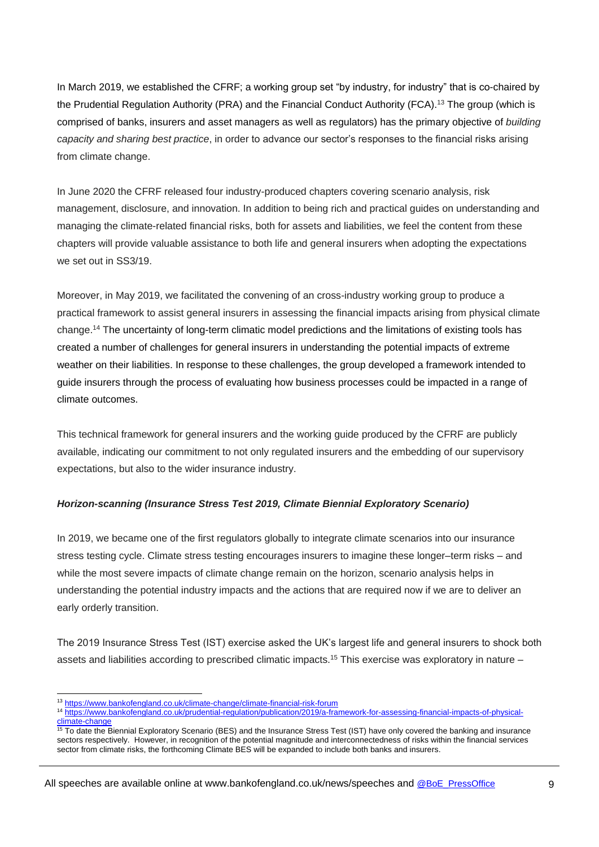In March 2019, we established the CFRF; a working group set "by industry, for industry" that is co-chaired by the Prudential Regulation Authority (PRA) and the Financial Conduct Authority (FCA).<sup>13</sup> The group (which is comprised of banks, insurers and asset managers as well as regulators) has the primary objective of *building capacity and sharing best practice*, in order to advance our sector's responses to the financial risks arising from climate change.

In June 2020 the CFRF released four industry-produced chapters covering scenario analysis, risk management, disclosure, and innovation. In addition to being rich and practical guides on understanding and managing the climate-related financial risks, both for assets and liabilities, we feel the content from these chapters will provide valuable assistance to both life and general insurers when adopting the expectations we set out in SS3/19.

Moreover, in May 2019, we facilitated the convening of an cross-industry working group to produce a practical framework to assist general insurers in assessing the financial impacts arising from physical climate change. <sup>14</sup> The uncertainty of long-term climatic model predictions and the limitations of existing tools has created a number of challenges for general insurers in understanding the potential impacts of extreme weather on their liabilities. In response to these challenges, the group developed a framework intended to guide insurers through the process of evaluating how business processes could be impacted in a range of climate outcomes.

This technical framework for general insurers and the working guide produced by the CFRF are publicly available, indicating our commitment to not only regulated insurers and the embedding of our supervisory expectations, but also to the wider insurance industry.

# *Horizon-scanning (Insurance Stress Test 2019, Climate Biennial Exploratory Scenario)*

In 2019, we became one of the first regulators globally to integrate climate scenarios into our insurance stress testing cycle. Climate stress testing encourages insurers to imagine these longer–term risks – and while the most severe impacts of climate change remain on the horizon, scenario analysis helps in understanding the potential industry impacts and the actions that are required now if we are to deliver an early orderly transition.

The 2019 Insurance Stress Test (IST) exercise asked the UK's largest life and general insurers to shock both assets and liabilities according to prescribed climatic impacts.<sup>15</sup> This exercise was exploratory in nature –

l <sup>13</sup> <https://www.bankofengland.co.uk/climate-change/climate-financial-risk-forum>

<sup>14</sup> [https://www.bankofengland.co.uk/prudential-regulation/publication/2019/a-framework-for-assessing-financial-impacts-of-physical](https://www.bankofengland.co.uk/prudential-regulation/publication/2019/a-framework-for-assessing-financial-impacts-of-physical-climate-change)[climate-change](https://www.bankofengland.co.uk/prudential-regulation/publication/2019/a-framework-for-assessing-financial-impacts-of-physical-climate-change)

**In Trustee Strange Exploratory Scenario (BES) and the Insurance Stress Test (IST) have only covered the banking and insurance** sectors respectively. However, in recognition of the potential magnitude and interconnectedness of risks within the financial services sector from climate risks, the forthcoming Climate BES will be expanded to include both banks and insurers.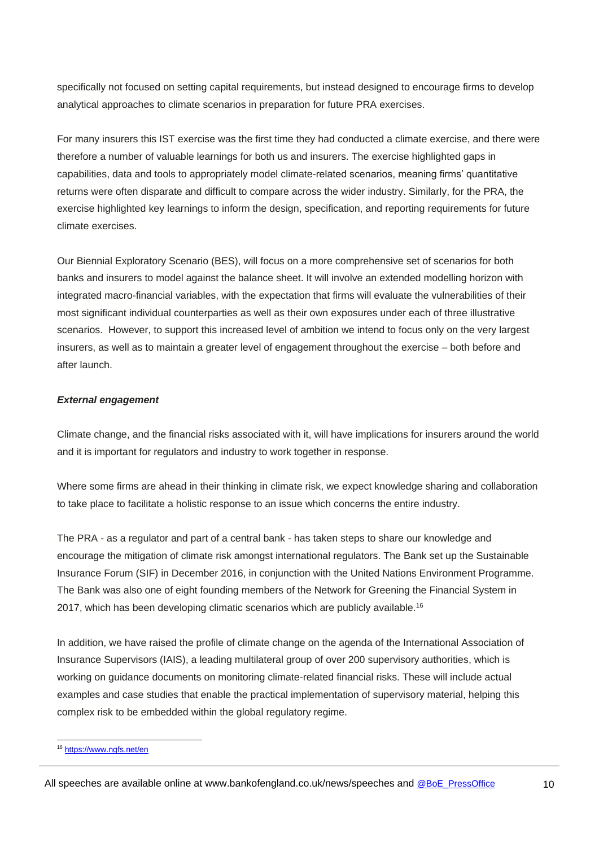specifically not focused on setting capital requirements, but instead designed to encourage firms to develop analytical approaches to climate scenarios in preparation for future PRA exercises.

For many insurers this IST exercise was the first time they had conducted a climate exercise, and there were therefore a number of valuable learnings for both us and insurers. The exercise highlighted gaps in capabilities, data and tools to appropriately model climate-related scenarios, meaning firms' quantitative returns were often disparate and difficult to compare across the wider industry. Similarly, for the PRA, the exercise highlighted key learnings to inform the design, specification, and reporting requirements for future climate exercises.

Our Biennial Exploratory Scenario (BES), will focus on a more comprehensive set of scenarios for both banks and insurers to model against the balance sheet. It will involve an extended modelling horizon with integrated macro-financial variables, with the expectation that firms will evaluate the vulnerabilities of their most significant individual counterparties as well as their own exposures under each of three illustrative scenarios. However, to support this increased level of ambition we intend to focus only on the very largest insurers, as well as to maintain a greater level of engagement throughout the exercise – both before and after launch.

# *External engagement*

Climate change, and the financial risks associated with it, will have implications for insurers around the world and it is important for regulators and industry to work together in response.

Where some firms are ahead in their thinking in climate risk, we expect knowledge sharing and collaboration to take place to facilitate a holistic response to an issue which concerns the entire industry.

The PRA - as a regulator and part of a central bank - has taken steps to share our knowledge and encourage the mitigation of climate risk amongst international regulators. The Bank set up the Sustainable Insurance Forum (SIF) in December 2016, in conjunction with the United Nations Environment Programme. The Bank was also one of eight founding members of the Network for Greening the Financial System in 2017, which has been developing climatic scenarios which are publicly available.<sup>16</sup>

In addition, we have raised the profile of climate change on the agenda of the International Association of Insurance Supervisors (IAIS), a leading multilateral group of over 200 supervisory authorities, which is working on guidance documents on monitoring climate-related financial risks. These will include actual examples and case studies that enable the practical implementation of supervisory material, helping this complex risk to be embedded within the global regulatory regime.

l

<sup>&</sup>lt;sup>16</sup> <https://www.ngfs.net/en>